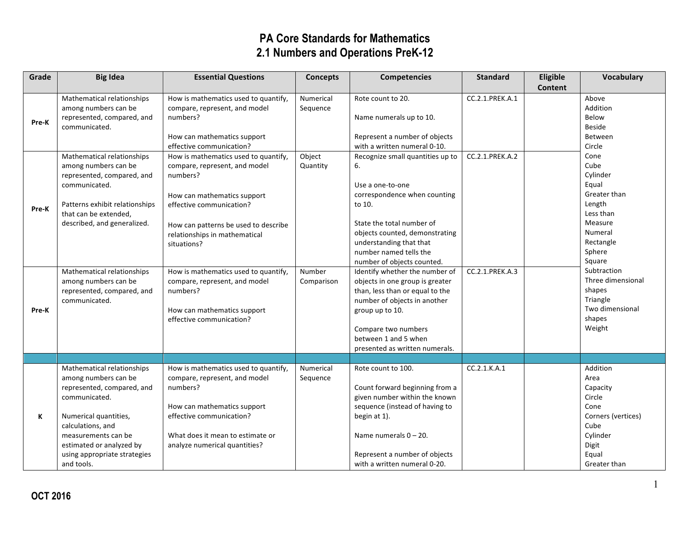| Grade | <b>Big Idea</b>                | <b>Essential Questions</b>           | <b>Concepts</b> | <b>Competencies</b>              | <b>Standard</b> | Eligible | <b>Vocabulary</b>  |
|-------|--------------------------------|--------------------------------------|-----------------|----------------------------------|-----------------|----------|--------------------|
|       |                                |                                      |                 |                                  |                 | Content  |                    |
|       | Mathematical relationships     | How is mathematics used to quantify, | Numerical       | Rote count to 20.                | CC.2.1.PREK.A.1 |          | Above              |
|       | among numbers can be           | compare, represent, and model        | Sequence        |                                  |                 |          | Addition           |
| Pre-K | represented, compared, and     | numbers?                             |                 | Name numerals up to 10.          |                 |          | Below              |
|       | communicated.                  |                                      |                 |                                  |                 |          | <b>Beside</b>      |
|       |                                | How can mathematics support          |                 | Represent a number of objects    |                 |          | Between            |
|       |                                | effective communication?             |                 | with a written numeral 0-10.     |                 |          | Circle             |
|       | Mathematical relationships     | How is mathematics used to quantify, | Object          | Recognize small quantities up to | CC.2.1.PREK.A.2 |          | Cone               |
|       | among numbers can be           | compare, represent, and model        | Quantity        | 6.                               |                 |          | Cube               |
|       | represented, compared, and     | numbers?                             |                 |                                  |                 |          | Cylinder           |
|       | communicated.                  |                                      |                 | Use a one-to-one                 |                 |          | Equal              |
|       |                                | How can mathematics support          |                 | correspondence when counting     |                 |          | Greater than       |
| Pre-K | Patterns exhibit relationships | effective communication?             |                 | to 10.                           |                 |          | Length             |
|       | that can be extended,          |                                      |                 |                                  |                 |          | Less than          |
|       | described, and generalized.    | How can patterns be used to describe |                 | State the total number of        |                 |          | Measure            |
|       |                                | relationships in mathematical        |                 | objects counted, demonstrating   |                 |          | Numeral            |
|       |                                | situations?                          |                 | understanding that that          |                 |          | Rectangle          |
|       |                                |                                      |                 | number named tells the           |                 |          | Sphere             |
|       |                                |                                      |                 | number of objects counted.       |                 |          | Square             |
|       | Mathematical relationships     | How is mathematics used to quantify, | Number          | Identify whether the number of   | CC.2.1.PREK.A.3 |          | Subtraction        |
|       | among numbers can be           | compare, represent, and model        | Comparison      | objects in one group is greater  |                 |          | Three dimensional  |
|       | represented, compared, and     | numbers?                             |                 | than, less than or equal to the  |                 |          | shapes             |
|       | communicated.                  |                                      |                 | number of objects in another     |                 |          | Triangle           |
| Pre-K |                                | How can mathematics support          |                 | group up to 10.                  |                 |          | Two dimensional    |
|       |                                | effective communication?             |                 |                                  |                 |          | shapes             |
|       |                                |                                      |                 | Compare two numbers              |                 |          | Weight             |
|       |                                |                                      |                 | between 1 and 5 when             |                 |          |                    |
|       |                                |                                      |                 | presented as written numerals.   |                 |          |                    |
|       |                                |                                      |                 |                                  |                 |          |                    |
|       | Mathematical relationships     | How is mathematics used to quantify, | Numerical       | Rote count to 100.               | CC.2.1.K.A.1    |          | Addition           |
|       | among numbers can be           | compare, represent, and model        | Sequence        |                                  |                 |          | Area               |
|       | represented, compared, and     | numbers?                             |                 | Count forward beginning from a   |                 |          | Capacity           |
|       | communicated.                  |                                      |                 | given number within the known    |                 |          | Circle             |
|       |                                | How can mathematics support          |                 | sequence (instead of having to   |                 |          | Cone               |
| К     | Numerical quantities,          | effective communication?             |                 | begin at 1).                     |                 |          | Corners (vertices) |
|       | calculations, and              |                                      |                 |                                  |                 |          | Cube               |
|       | measurements can be            | What does it mean to estimate or     |                 | Name numerals $0 - 20$ .         |                 |          | Cylinder           |
|       | estimated or analyzed by       | analyze numerical quantities?        |                 |                                  |                 |          | Digit              |
|       | using appropriate strategies   |                                      |                 | Represent a number of objects    |                 |          | Equal              |
|       | and tools.                     |                                      |                 | with a written numeral 0-20.     |                 |          | Greater than       |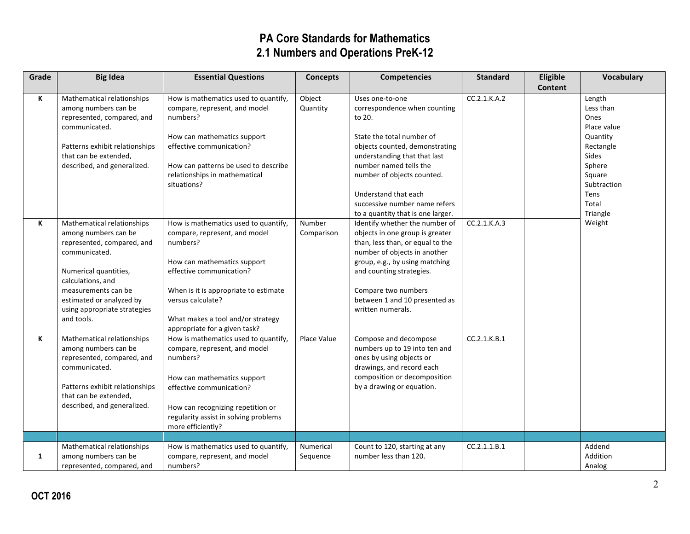| Grade        | <b>Big Idea</b>                                    | <b>Essential Questions</b>                                         | <b>Concepts</b> | <b>Competencies</b>                                                 | <b>Standard</b> | Eligible       | <b>Vocabulary</b> |
|--------------|----------------------------------------------------|--------------------------------------------------------------------|-----------------|---------------------------------------------------------------------|-----------------|----------------|-------------------|
|              |                                                    |                                                                    |                 |                                                                     |                 | <b>Content</b> |                   |
| K            | Mathematical relationships                         | How is mathematics used to quantify,                               | Object          | Uses one-to-one                                                     | CC.2.1.K.A.2    |                | Length            |
|              | among numbers can be<br>represented, compared, and | compare, represent, and model<br>numbers?                          | Quantity        | correspondence when counting<br>to 20.                              |                 |                | Less than<br>Ones |
|              | communicated.                                      |                                                                    |                 |                                                                     |                 |                | Place value       |
|              |                                                    | How can mathematics support                                        |                 | State the total number of                                           |                 |                | Quantity          |
|              | Patterns exhibit relationships                     | effective communication?                                           |                 | objects counted, demonstrating                                      |                 |                | Rectangle         |
|              | that can be extended,                              |                                                                    |                 | understanding that that last                                        |                 |                | <b>Sides</b>      |
|              | described, and generalized.                        | How can patterns be used to describe                               |                 | number named tells the                                              |                 |                | Sphere            |
|              |                                                    | relationships in mathematical                                      |                 | number of objects counted.                                          |                 |                | Square            |
|              |                                                    | situations?                                                        |                 |                                                                     |                 |                | Subtraction       |
|              |                                                    |                                                                    |                 | Understand that each                                                |                 |                | Tens              |
|              |                                                    |                                                                    |                 | successive number name refers                                       |                 |                | Total<br>Triangle |
| К            | Mathematical relationships                         | How is mathematics used to quantify,                               | Number          | to a quantity that is one larger.<br>Identify whether the number of | CC.2.1.K.A.3    |                | Weight            |
|              | among numbers can be                               | compare, represent, and model                                      | Comparison      | objects in one group is greater                                     |                 |                |                   |
|              | represented, compared, and                         | numbers?                                                           |                 | than, less than, or equal to the                                    |                 |                |                   |
|              | communicated.                                      |                                                                    |                 | number of objects in another                                        |                 |                |                   |
|              |                                                    | How can mathematics support                                        |                 | group, e.g., by using matching                                      |                 |                |                   |
|              | Numerical quantities,                              | effective communication?                                           |                 | and counting strategies.                                            |                 |                |                   |
|              | calculations, and                                  |                                                                    |                 |                                                                     |                 |                |                   |
|              | measurements can be                                | When is it is appropriate to estimate                              |                 | Compare two numbers                                                 |                 |                |                   |
|              | estimated or analyzed by                           | versus calculate?                                                  |                 | between 1 and 10 presented as                                       |                 |                |                   |
|              | using appropriate strategies<br>and tools.         |                                                                    |                 | written numerals.                                                   |                 |                |                   |
|              |                                                    | What makes a tool and/or strategy<br>appropriate for a given task? |                 |                                                                     |                 |                |                   |
| К            | Mathematical relationships                         | How is mathematics used to quantify,                               | Place Value     | Compose and decompose                                               | CC.2.1.K.B.1    |                |                   |
|              | among numbers can be                               | compare, represent, and model                                      |                 | numbers up to 19 into ten and                                       |                 |                |                   |
|              | represented, compared, and                         | numbers?                                                           |                 | ones by using objects or                                            |                 |                |                   |
|              | communicated.                                      |                                                                    |                 | drawings, and record each                                           |                 |                |                   |
|              |                                                    | How can mathematics support                                        |                 | composition or decomposition                                        |                 |                |                   |
|              | Patterns exhibit relationships                     | effective communication?                                           |                 | by a drawing or equation.                                           |                 |                |                   |
|              | that can be extended,                              |                                                                    |                 |                                                                     |                 |                |                   |
|              | described, and generalized.                        | How can recognizing repetition or                                  |                 |                                                                     |                 |                |                   |
|              |                                                    | regularity assist in solving problems                              |                 |                                                                     |                 |                |                   |
|              |                                                    | more efficiently?                                                  |                 |                                                                     |                 |                |                   |
|              | Mathematical relationships                         | How is mathematics used to quantify,                               | Numerical       | Count to 120, starting at any                                       | CC.2.1.1.B.1    |                | Addend            |
| $\mathbf{1}$ | among numbers can be                               | compare, represent, and model                                      | Sequence        | number less than 120.                                               |                 |                | Addition          |
|              | represented, compared, and                         | numbers?                                                           |                 |                                                                     |                 |                | Analog            |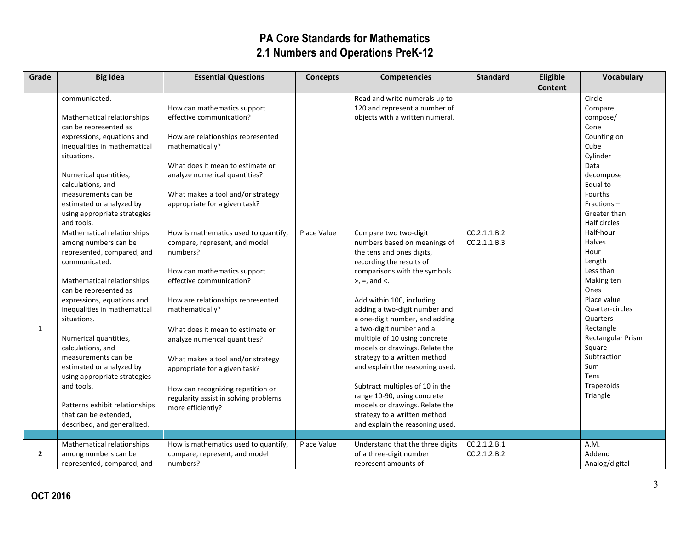| Grade          | <b>Big Idea</b>                            | <b>Essential Questions</b>                                            | <b>Concepts</b> | <b>Competencies</b>                                   | <b>Standard</b> | Eligible       | Vocabulary                   |
|----------------|--------------------------------------------|-----------------------------------------------------------------------|-----------------|-------------------------------------------------------|-----------------|----------------|------------------------------|
|                |                                            |                                                                       |                 |                                                       |                 | <b>Content</b> |                              |
|                | communicated.                              |                                                                       |                 | Read and write numerals up to                         |                 |                | Circle                       |
|                |                                            | How can mathematics support                                           |                 | 120 and represent a number of                         |                 |                | Compare                      |
|                | Mathematical relationships                 | effective communication?                                              |                 | objects with a written numeral.                       |                 |                | compose/                     |
|                | can be represented as                      |                                                                       |                 |                                                       |                 |                | Cone                         |
|                | expressions, equations and                 | How are relationships represented                                     |                 |                                                       |                 |                | Counting on                  |
|                | inequalities in mathematical               | mathematically?                                                       |                 |                                                       |                 |                | Cube                         |
|                | situations.                                |                                                                       |                 |                                                       |                 |                | Cylinder                     |
|                |                                            | What does it mean to estimate or                                      |                 |                                                       |                 |                | Data                         |
|                | Numerical quantities,                      | analyze numerical quantities?                                         |                 |                                                       |                 |                | decompose                    |
|                | calculations, and                          |                                                                       |                 |                                                       |                 |                | Equal to                     |
|                | measurements can be                        | What makes a tool and/or strategy                                     |                 |                                                       |                 |                | Fourths                      |
|                | estimated or analyzed by                   | appropriate for a given task?                                         |                 |                                                       |                 |                | Fractions $-$                |
|                | using appropriate strategies<br>and tools. |                                                                       |                 |                                                       |                 |                | Greater than<br>Half circles |
|                | Mathematical relationships                 |                                                                       | Place Value     |                                                       | CC.2.1.1.B.2    |                | Half-hour                    |
|                | among numbers can be                       | How is mathematics used to quantify,<br>compare, represent, and model |                 | Compare two two-digit<br>numbers based on meanings of | CC.2.1.1.B.3    |                | <b>Halves</b>                |
|                | represented, compared, and                 | numbers?                                                              |                 | the tens and ones digits,                             |                 |                | Hour                         |
|                | communicated.                              |                                                                       |                 | recording the results of                              |                 |                | Length                       |
|                |                                            | How can mathematics support                                           |                 | comparisons with the symbols                          |                 |                | Less than                    |
|                | Mathematical relationships                 | effective communication?                                              |                 | $>$ , =, and <.                                       |                 |                | Making ten                   |
|                | can be represented as                      |                                                                       |                 |                                                       |                 |                | Ones                         |
|                | expressions, equations and                 | How are relationships represented                                     |                 | Add within 100, including                             |                 |                | Place value                  |
|                | inequalities in mathematical               | mathematically?                                                       |                 | adding a two-digit number and                         |                 |                | Quarter-circles              |
|                | situations.                                |                                                                       |                 | a one-digit number, and adding                        |                 |                | Quarters                     |
| 1              |                                            | What does it mean to estimate or                                      |                 | a two-digit number and a                              |                 |                | Rectangle                    |
|                | Numerical quantities,                      | analyze numerical quantities?                                         |                 | multiple of 10 using concrete                         |                 |                | Rectangular Prism            |
|                | calculations, and                          |                                                                       |                 | models or drawings. Relate the                        |                 |                | Square                       |
|                | measurements can be                        | What makes a tool and/or strategy                                     |                 | strategy to a written method                          |                 |                | Subtraction                  |
|                | estimated or analyzed by                   | appropriate for a given task?                                         |                 | and explain the reasoning used.                       |                 |                | Sum                          |
|                | using appropriate strategies               |                                                                       |                 |                                                       |                 |                | <b>Tens</b>                  |
|                | and tools.                                 | How can recognizing repetition or                                     |                 | Subtract multiples of 10 in the                       |                 |                | Trapezoids                   |
|                |                                            | regularity assist in solving problems                                 |                 | range 10-90, using concrete                           |                 |                | Triangle                     |
|                | Patterns exhibit relationships             | more efficiently?                                                     |                 | models or drawings. Relate the                        |                 |                |                              |
|                | that can be extended,                      |                                                                       |                 | strategy to a written method                          |                 |                |                              |
|                | described, and generalized.                |                                                                       |                 | and explain the reasoning used.                       |                 |                |                              |
|                |                                            |                                                                       |                 |                                                       |                 |                |                              |
|                | Mathematical relationships                 | How is mathematics used to quantify,                                  | Place Value     | Understand that the three digits                      | CC.2.1.2.B.1    |                | A.M.                         |
| $\overline{2}$ | among numbers can be                       | compare, represent, and model                                         |                 | of a three-digit number                               | CC.2.1.2.B.2    |                | Addend                       |
|                | represented, compared, and                 | numbers?                                                              |                 | represent amounts of                                  |                 |                | Analog/digital               |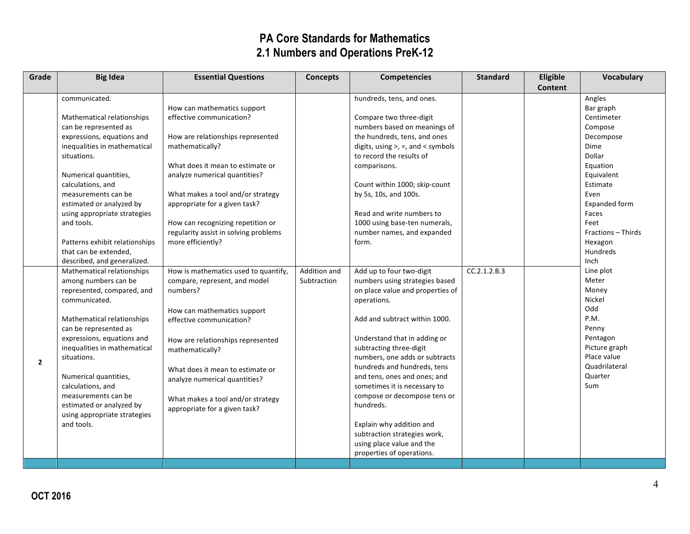| Grade          | <b>Big Idea</b>                                 | <b>Essential Questions</b>                                         | <b>Concepts</b> | <b>Competencies</b>                       | <b>Standard</b> | Eligible       | <b>Vocabulary</b>     |
|----------------|-------------------------------------------------|--------------------------------------------------------------------|-----------------|-------------------------------------------|-----------------|----------------|-----------------------|
|                |                                                 |                                                                    |                 |                                           |                 | <b>Content</b> |                       |
|                | communicated.                                   |                                                                    |                 | hundreds, tens, and ones.                 |                 |                | Angles                |
|                |                                                 | How can mathematics support                                        |                 |                                           |                 |                | Bar graph             |
|                | Mathematical relationships                      | effective communication?                                           |                 | Compare two three-digit                   |                 |                | Centimeter            |
|                | can be represented as                           |                                                                    |                 | numbers based on meanings of              |                 |                | Compose               |
|                | expressions, equations and                      | How are relationships represented                                  |                 | the hundreds, tens, and ones              |                 |                | Decompose             |
|                | inequalities in mathematical                    | mathematically?                                                    |                 | digits, using $>$ , $=$ , and $<$ symbols |                 |                | Dime                  |
|                | situations.                                     |                                                                    |                 | to record the results of                  |                 |                | Dollar                |
|                |                                                 | What does it mean to estimate or                                   |                 | comparisons.                              |                 |                | Equation              |
|                | Numerical quantities,                           | analyze numerical quantities?                                      |                 |                                           |                 |                | Equivalent            |
|                | calculations, and                               |                                                                    |                 | Count within 1000; skip-count             |                 |                | Estimate              |
|                | measurements can be<br>estimated or analyzed by | What makes a tool and/or strategy<br>appropriate for a given task? |                 | by 5s, 10s, and 100s.                     |                 |                | Even<br>Expanded form |
|                | using appropriate strategies                    |                                                                    |                 | Read and write numbers to                 |                 |                | Faces                 |
|                | and tools.                                      | How can recognizing repetition or                                  |                 | 1000 using base-ten numerals,             |                 |                | Feet                  |
|                |                                                 | regularity assist in solving problems                              |                 | number names, and expanded                |                 |                | Fractions - Thirds    |
|                | Patterns exhibit relationships                  | more efficiently?                                                  |                 | form.                                     |                 |                | Hexagon               |
|                | that can be extended,                           |                                                                    |                 |                                           |                 |                | <b>Hundreds</b>       |
|                | described, and generalized.                     |                                                                    |                 |                                           |                 |                | Inch                  |
|                | Mathematical relationships                      | How is mathematics used to quantify,                               | Addition and    | Add up to four two-digit                  | CC.2.1.2.B.3    |                | Line plot             |
|                | among numbers can be                            | compare, represent, and model                                      | Subtraction     | numbers using strategies based            |                 |                | Meter                 |
|                | represented, compared, and                      | numbers?                                                           |                 | on place value and properties of          |                 |                | Money                 |
|                | communicated.                                   |                                                                    |                 | operations.                               |                 |                | Nickel                |
|                |                                                 | How can mathematics support                                        |                 |                                           |                 |                | Odd                   |
|                | Mathematical relationships                      | effective communication?                                           |                 | Add and subtract within 1000.             |                 |                | P.M.                  |
|                | can be represented as                           |                                                                    |                 |                                           |                 |                | Penny                 |
|                | expressions, equations and                      | How are relationships represented                                  |                 | Understand that in adding or              |                 |                | Pentagon              |
|                | inequalities in mathematical                    | mathematically?                                                    |                 | subtracting three-digit                   |                 |                | Picture graph         |
| $\overline{2}$ | situations.                                     |                                                                    |                 | numbers, one adds or subtracts            |                 |                | Place value           |
|                |                                                 | What does it mean to estimate or                                   |                 | hundreds and hundreds, tens               |                 |                | Quadrilateral         |
|                | Numerical quantities,                           | analyze numerical quantities?                                      |                 | and tens, ones and ones; and              |                 |                | Quarter               |
|                | calculations, and                               |                                                                    |                 | sometimes it is necessary to              |                 |                | Sum                   |
|                | measurements can be                             | What makes a tool and/or strategy                                  |                 | compose or decompose tens or<br>hundreds. |                 |                |                       |
|                | estimated or analyzed by                        | appropriate for a given task?                                      |                 |                                           |                 |                |                       |
|                | using appropriate strategies<br>and tools.      |                                                                    |                 | Explain why addition and                  |                 |                |                       |
|                |                                                 |                                                                    |                 | subtraction strategies work,              |                 |                |                       |
|                |                                                 |                                                                    |                 | using place value and the                 |                 |                |                       |
|                |                                                 |                                                                    |                 | properties of operations.                 |                 |                |                       |
|                |                                                 |                                                                    |                 |                                           |                 |                |                       |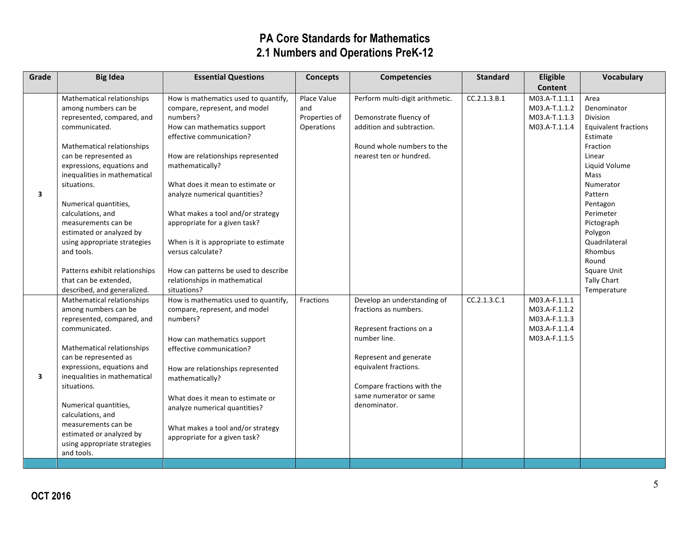| Grade | <b>Big Idea</b>                             | <b>Essential Questions</b>            | <b>Concepts</b> | <b>Competencies</b>             | <b>Standard</b> | Eligible       | Vocabulary                  |
|-------|---------------------------------------------|---------------------------------------|-----------------|---------------------------------|-----------------|----------------|-----------------------------|
|       |                                             |                                       |                 |                                 |                 | <b>Content</b> |                             |
|       | Mathematical relationships                  | How is mathematics used to quantify,  | Place Value     | Perform multi-digit arithmetic. | CC.2.1.3.B.1    | M03.A-T.1.1.1  | Area                        |
|       | among numbers can be                        | compare, represent, and model         | and             |                                 |                 | M03.A-T.1.1.2  | Denominator                 |
|       | represented, compared, and                  | numbers?                              | Properties of   | Demonstrate fluency of          |                 | M03.A-T.1.1.3  | Division                    |
|       | communicated.                               | How can mathematics support           | Operations      | addition and subtraction.       |                 | M03.A-T.1.1.4  | <b>Equivalent fractions</b> |
|       |                                             | effective communication?              |                 |                                 |                 |                | Estimate                    |
|       | Mathematical relationships                  |                                       |                 | Round whole numbers to the      |                 |                | Fraction                    |
|       | can be represented as                       | How are relationships represented     |                 | nearest ten or hundred.         |                 |                | Linear                      |
|       | expressions, equations and                  | mathematically?                       |                 |                                 |                 |                | Liquid Volume               |
|       | inequalities in mathematical                |                                       |                 |                                 |                 |                | Mass                        |
|       | situations.                                 | What does it mean to estimate or      |                 |                                 |                 |                | Numerator                   |
| 3     |                                             | analyze numerical quantities?         |                 |                                 |                 |                | Pattern                     |
|       | Numerical quantities,                       |                                       |                 |                                 |                 |                | Pentagon                    |
|       | calculations, and                           | What makes a tool and/or strategy     |                 |                                 |                 |                | Perimeter                   |
|       | measurements can be                         | appropriate for a given task?         |                 |                                 |                 |                | Pictograph                  |
|       | estimated or analyzed by                    |                                       |                 |                                 |                 |                | Polygon                     |
|       | using appropriate strategies                | When is it is appropriate to estimate |                 |                                 |                 |                | Quadrilateral               |
|       | and tools.                                  | versus calculate?                     |                 |                                 |                 |                | Rhombus                     |
|       |                                             |                                       |                 |                                 |                 |                | Round                       |
|       | Patterns exhibit relationships              | How can patterns be used to describe  |                 |                                 |                 |                | Square Unit                 |
|       | that can be extended,                       | relationships in mathematical         |                 |                                 |                 |                | <b>Tally Chart</b>          |
|       | described, and generalized.                 | situations?                           |                 |                                 |                 |                | Temperature                 |
|       | Mathematical relationships                  | How is mathematics used to quantify,  | Fractions       | Develop an understanding of     | CC.2.1.3.C.1    | M03.A-F.1.1.1  |                             |
|       | among numbers can be                        | compare, represent, and model         |                 | fractions as numbers.           |                 | M03.A-F.1.1.2  |                             |
|       | represented, compared, and                  | numbers?                              |                 |                                 |                 | M03.A-F.1.1.3  |                             |
|       | communicated.                               |                                       |                 | Represent fractions on a        |                 | M03.A-F.1.1.4  |                             |
|       |                                             | How can mathematics support           |                 | number line.                    |                 | M03.A-F.1.1.5  |                             |
|       | Mathematical relationships                  | effective communication?              |                 |                                 |                 |                |                             |
|       | can be represented as                       |                                       |                 | Represent and generate          |                 |                |                             |
| 3     | expressions, equations and                  | How are relationships represented     |                 | equivalent fractions.           |                 |                |                             |
|       | inequalities in mathematical<br>situations. | mathematically?                       |                 | Compare fractions with the      |                 |                |                             |
|       |                                             |                                       |                 | same numerator or same          |                 |                |                             |
|       | Numerical quantities,                       | What does it mean to estimate or      |                 | denominator.                    |                 |                |                             |
|       | calculations, and                           | analyze numerical quantities?         |                 |                                 |                 |                |                             |
|       | measurements can be                         |                                       |                 |                                 |                 |                |                             |
|       | estimated or analyzed by                    | What makes a tool and/or strategy     |                 |                                 |                 |                |                             |
|       | using appropriate strategies                | appropriate for a given task?         |                 |                                 |                 |                |                             |
|       | and tools.                                  |                                       |                 |                                 |                 |                |                             |
|       |                                             |                                       |                 |                                 |                 |                |                             |
|       |                                             |                                       |                 |                                 |                 |                |                             |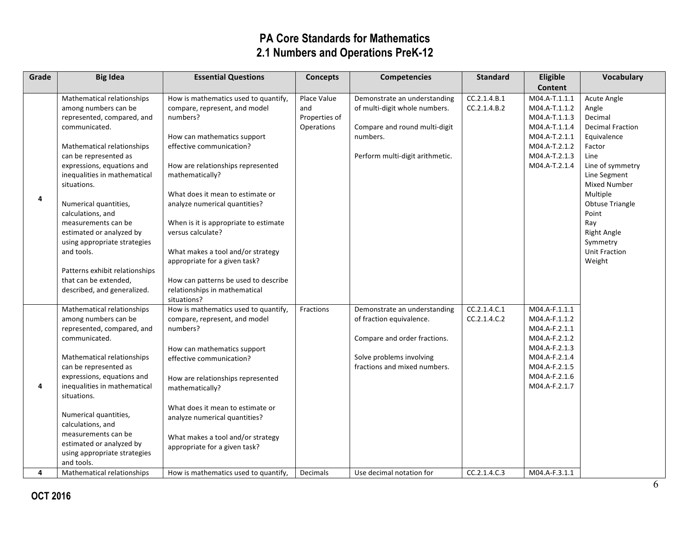| Grade | <b>Big Idea</b>                                                                                                                                                                                                                                                                                                                                                                                                                                                                | <b>Essential Questions</b>                                                                                                                                                                                                                                                                                                                                                                                                                                                             | <b>Concepts</b>                                          | <b>Competencies</b>                                                                                                                                  | <b>Standard</b>              | Eligible                                                                                                                                              | Vocabulary                                                                                                                                                                                                                                                                       |
|-------|--------------------------------------------------------------------------------------------------------------------------------------------------------------------------------------------------------------------------------------------------------------------------------------------------------------------------------------------------------------------------------------------------------------------------------------------------------------------------------|----------------------------------------------------------------------------------------------------------------------------------------------------------------------------------------------------------------------------------------------------------------------------------------------------------------------------------------------------------------------------------------------------------------------------------------------------------------------------------------|----------------------------------------------------------|------------------------------------------------------------------------------------------------------------------------------------------------------|------------------------------|-------------------------------------------------------------------------------------------------------------------------------------------------------|----------------------------------------------------------------------------------------------------------------------------------------------------------------------------------------------------------------------------------------------------------------------------------|
|       |                                                                                                                                                                                                                                                                                                                                                                                                                                                                                |                                                                                                                                                                                                                                                                                                                                                                                                                                                                                        |                                                          |                                                                                                                                                      |                              | <b>Content</b>                                                                                                                                        |                                                                                                                                                                                                                                                                                  |
| 4     | Mathematical relationships<br>among numbers can be<br>represented, compared, and<br>communicated.<br>Mathematical relationships<br>can be represented as<br>expressions, equations and<br>inequalities in mathematical<br>situations.<br>Numerical quantities,<br>calculations, and<br>measurements can be<br>estimated or analyzed by<br>using appropriate strategies<br>and tools.<br>Patterns exhibit relationships<br>that can be extended,<br>described, and generalized. | How is mathematics used to quantify,<br>compare, represent, and model<br>numbers?<br>How can mathematics support<br>effective communication?<br>How are relationships represented<br>mathematically?<br>What does it mean to estimate or<br>analyze numerical quantities?<br>When is it is appropriate to estimate<br>versus calculate?<br>What makes a tool and/or strategy<br>appropriate for a given task?<br>How can patterns be used to describe<br>relationships in mathematical | Place Value<br>and<br>Properties of<br><b>Operations</b> | Demonstrate an understanding<br>of multi-digit whole numbers.<br>Compare and round multi-digit<br>numbers.<br>Perform multi-digit arithmetic.        | CC.2.1.4.B.1<br>CC.2.1.4.B.2 | M04.A-T.1.1.1<br>M04.A-T.1.1.2<br>M04.A-T.1.1.3<br>M04.A-T.1.1.4<br>M04.A-T.2.1.1<br>M04.A-T.2.1.2<br>M04.A-T.2.1.3<br>M04.A-T.2.1.4                  | Acute Angle<br>Angle<br>Decimal<br><b>Decimal Fraction</b><br>Equivalence<br>Factor<br>Line<br>Line of symmetry<br>Line Segment<br><b>Mixed Number</b><br>Multiple<br><b>Obtuse Triangle</b><br>Point<br>Ray<br><b>Right Angle</b><br>Symmetry<br><b>Unit Fraction</b><br>Weight |
| 4     | Mathematical relationships<br>among numbers can be<br>represented, compared, and<br>communicated.<br>Mathematical relationships<br>can be represented as<br>expressions, equations and<br>inequalities in mathematical<br>situations.<br>Numerical quantities,<br>calculations, and<br>measurements can be<br>estimated or analyzed by<br>using appropriate strategies<br>and tools.                                                                                           | situations?<br>How is mathematics used to quantify,<br>compare, represent, and model<br>numbers?<br>How can mathematics support<br>effective communication?<br>How are relationships represented<br>mathematically?<br>What does it mean to estimate or<br>analyze numerical quantities?<br>What makes a tool and/or strategy<br>appropriate for a given task?                                                                                                                         | Fractions                                                | Demonstrate an understanding<br>of fraction equivalence.<br>Compare and order fractions.<br>Solve problems involving<br>fractions and mixed numbers. | CC.2.1.4.C.1<br>CC.2.1.4.C.2 | M04.A-F.1.1.1<br>M04.A-F.1.1.2<br>M04.A-F.2.1.1<br>M04.A-F.2.1.2<br>M04.A-F.2.1.3<br>M04.A-F.2.1.4<br>M04.A-F.2.1.5<br>M04.A-F.2.1.6<br>M04.A-F.2.1.7 |                                                                                                                                                                                                                                                                                  |
| 4     | Mathematical relationships                                                                                                                                                                                                                                                                                                                                                                                                                                                     | How is mathematics used to quantify,                                                                                                                                                                                                                                                                                                                                                                                                                                                   | <b>Decimals</b>                                          | Use decimal notation for                                                                                                                             | CC.2.1.4.C.3                 | M04.A-F.3.1.1                                                                                                                                         |                                                                                                                                                                                                                                                                                  |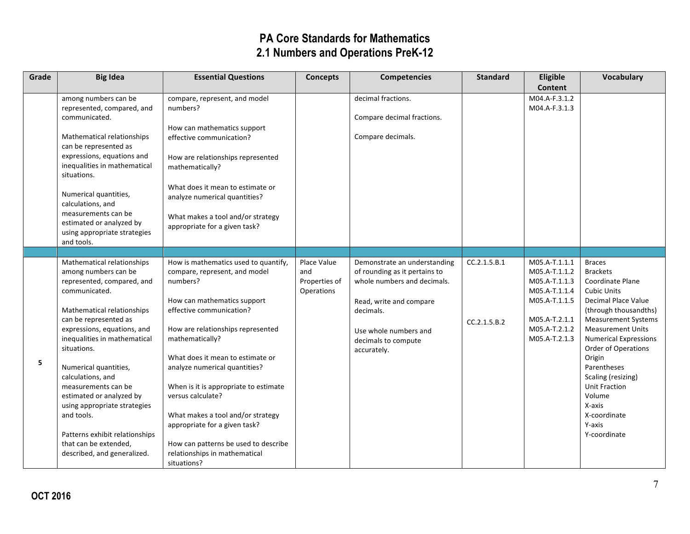| Grade | <b>Big Idea</b>                                                                                                                                                                                                                                                                                                                                                                                                                                                                 | <b>Essential Questions</b>                                                                                                                                                                                                                                                                                                                                                                                                                                                                            | <b>Concepts</b>                                   | <b>Competencies</b>                                                                                                                                                                                 | <b>Standard</b>              | Eligible                                                                                                                             | <b>Vocabulary</b>                                                                                                                                                                                                                                                                                                                                                                |
|-------|---------------------------------------------------------------------------------------------------------------------------------------------------------------------------------------------------------------------------------------------------------------------------------------------------------------------------------------------------------------------------------------------------------------------------------------------------------------------------------|-------------------------------------------------------------------------------------------------------------------------------------------------------------------------------------------------------------------------------------------------------------------------------------------------------------------------------------------------------------------------------------------------------------------------------------------------------------------------------------------------------|---------------------------------------------------|-----------------------------------------------------------------------------------------------------------------------------------------------------------------------------------------------------|------------------------------|--------------------------------------------------------------------------------------------------------------------------------------|----------------------------------------------------------------------------------------------------------------------------------------------------------------------------------------------------------------------------------------------------------------------------------------------------------------------------------------------------------------------------------|
|       | among numbers can be<br>represented, compared, and<br>communicated.<br>Mathematical relationships<br>can be represented as<br>expressions, equations and<br>inequalities in mathematical<br>situations.<br>Numerical quantities,<br>calculations, and<br>measurements can be<br>estimated or analyzed by<br>using appropriate strategies<br>and tools.                                                                                                                          | compare, represent, and model<br>numbers?<br>How can mathematics support<br>effective communication?<br>How are relationships represented<br>mathematically?<br>What does it mean to estimate or<br>analyze numerical quantities?<br>What makes a tool and/or strategy<br>appropriate for a given task?                                                                                                                                                                                               |                                                   | decimal fractions.<br>Compare decimal fractions.<br>Compare decimals.                                                                                                                               |                              | <b>Content</b><br>M04.A-F.3.1.2<br>M04.A-F.3.1.3                                                                                     |                                                                                                                                                                                                                                                                                                                                                                                  |
| 5     | Mathematical relationships<br>among numbers can be<br>represented, compared, and<br>communicated.<br>Mathematical relationships<br>can be represented as<br>expressions, equations, and<br>inequalities in mathematical<br>situations.<br>Numerical quantities,<br>calculations, and<br>measurements can be<br>estimated or analyzed by<br>using appropriate strategies<br>and tools.<br>Patterns exhibit relationships<br>that can be extended,<br>described, and generalized. | How is mathematics used to quantify,<br>compare, represent, and model<br>numbers?<br>How can mathematics support<br>effective communication?<br>How are relationships represented<br>mathematically?<br>What does it mean to estimate or<br>analyze numerical quantities?<br>When is it is appropriate to estimate<br>versus calculate?<br>What makes a tool and/or strategy<br>appropriate for a given task?<br>How can patterns be used to describe<br>relationships in mathematical<br>situations? | Place Value<br>and<br>Properties of<br>Operations | Demonstrate an understanding<br>of rounding as it pertains to<br>whole numbers and decimals.<br>Read, write and compare<br>decimals.<br>Use whole numbers and<br>decimals to compute<br>accurately. | CC.2.1.5.B.1<br>CC.2.1.5.B.2 | M05.A-T.1.1.1<br>M05.A-T.1.1.2<br>M05.A-T.1.1.3<br>M05.A-T.1.1.4<br>M05.A-T.1.1.5<br>M05.A-T.2.1.1<br>M05.A-T.2.1.2<br>M05.A-T.2.1.3 | <b>Braces</b><br><b>Brackets</b><br>Coordinate Plane<br><b>Cubic Units</b><br>Decimal Place Value<br>(through thousandths)<br><b>Measurement Systems</b><br><b>Measurement Units</b><br><b>Numerical Expressions</b><br>Order of Operations<br>Origin<br>Parentheses<br>Scaling (resizing)<br><b>Unit Fraction</b><br>Volume<br>X-axis<br>X-coordinate<br>Y-axis<br>Y-coordinate |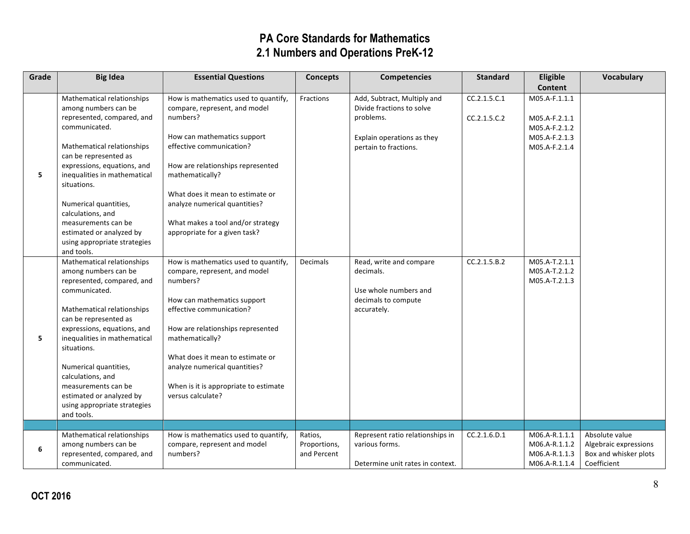| Grade | <b>Big Idea</b>                                                                  | <b>Essential Questions</b>                                                        | <b>Concepts</b>             | <b>Competencies</b>                                                   | <b>Standard</b>              | Eligible                       | <b>Vocabulary</b>                              |
|-------|----------------------------------------------------------------------------------|-----------------------------------------------------------------------------------|-----------------------------|-----------------------------------------------------------------------|------------------------------|--------------------------------|------------------------------------------------|
|       |                                                                                  |                                                                                   |                             |                                                                       |                              | Content                        |                                                |
|       | Mathematical relationships<br>among numbers can be<br>represented, compared, and | How is mathematics used to quantify,<br>compare, represent, and model<br>numbers? | Fractions                   | Add, Subtract, Multiply and<br>Divide fractions to solve<br>problems. | CC.2.1.5.C.1<br>CC.2.1.5.C.2 | M05.A-F.1.1.1<br>M05.A-F.2.1.1 |                                                |
|       | communicated.                                                                    |                                                                                   |                             |                                                                       |                              | M05.A-F.2.1.2                  |                                                |
|       | Mathematical relationships<br>can be represented as                              | How can mathematics support<br>effective communication?                           |                             | Explain operations as they<br>pertain to fractions.                   |                              | M05.A-F.2.1.3<br>M05.A-F.2.1.4 |                                                |
| 5     | expressions, equations, and<br>inequalities in mathematical<br>situations.       | How are relationships represented<br>mathematically?                              |                             |                                                                       |                              |                                |                                                |
|       | Numerical quantities,<br>calculations, and                                       | What does it mean to estimate or<br>analyze numerical quantities?                 |                             |                                                                       |                              |                                |                                                |
|       | measurements can be<br>estimated or analyzed by<br>using appropriate strategies  | What makes a tool and/or strategy<br>appropriate for a given task?                |                             |                                                                       |                              |                                |                                                |
|       | and tools.<br>Mathematical relationships                                         | How is mathematics used to quantify,                                              | <b>Decimals</b>             | Read, write and compare                                               | CC.2.1.5.B.2                 | M05.A-T.2.1.1                  |                                                |
|       | among numbers can be<br>represented, compared, and                               | compare, represent, and model<br>numbers?                                         |                             | decimals.                                                             |                              | M05.A-T.2.1.2<br>M05.A-T.2.1.3 |                                                |
|       | communicated.                                                                    |                                                                                   |                             | Use whole numbers and                                                 |                              |                                |                                                |
|       | Mathematical relationships                                                       | How can mathematics support<br>effective communication?                           |                             | decimals to compute<br>accurately.                                    |                              |                                |                                                |
|       | can be represented as                                                            |                                                                                   |                             |                                                                       |                              |                                |                                                |
| 5     | expressions, equations, and<br>inequalities in mathematical                      | How are relationships represented<br>mathematically?                              |                             |                                                                       |                              |                                |                                                |
|       | situations.                                                                      | What does it mean to estimate or                                                  |                             |                                                                       |                              |                                |                                                |
|       | Numerical quantities,<br>calculations, and                                       | analyze numerical quantities?                                                     |                             |                                                                       |                              |                                |                                                |
|       | measurements can be                                                              | When is it is appropriate to estimate                                             |                             |                                                                       |                              |                                |                                                |
|       | estimated or analyzed by<br>using appropriate strategies                         | versus calculate?                                                                 |                             |                                                                       |                              |                                |                                                |
|       | and tools.                                                                       |                                                                                   |                             |                                                                       |                              |                                |                                                |
|       |                                                                                  |                                                                                   |                             |                                                                       |                              |                                |                                                |
|       | Mathematical relationships                                                       | How is mathematics used to quantify,                                              | Ratios,                     | Represent ratio relationships in                                      | CC.2.1.6.D.1                 | M06.A-R.1.1.1                  | Absolute value                                 |
| 6     | among numbers can be<br>represented, compared, and                               | compare, represent and model<br>numbers?                                          | Proportions,<br>and Percent | various forms.                                                        |                              | M06.A-R.1.1.2<br>M06.A-R.1.1.3 | Algebraic expressions<br>Box and whisker plots |
|       | communicated.                                                                    |                                                                                   |                             | Determine unit rates in context.                                      |                              | M06.A-R.1.1.4                  | Coefficient                                    |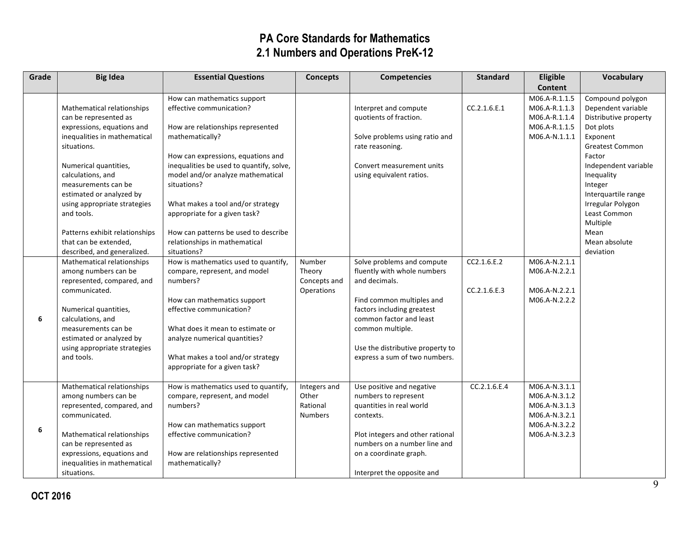| Grade | <b>Big Idea</b>                                                                                                                                                                                                                                                                                                                            | <b>Essential Questions</b>                                                                                                                                                                                                                                                                                                                                                                           | <b>Concepts</b>                                       | <b>Competencies</b>                                                                                                                                                                                                                                       | <b>Standard</b>             | Eligible                                                                                           | Vocabulary                                                                                                                                                                                                                                                                     |
|-------|--------------------------------------------------------------------------------------------------------------------------------------------------------------------------------------------------------------------------------------------------------------------------------------------------------------------------------------------|------------------------------------------------------------------------------------------------------------------------------------------------------------------------------------------------------------------------------------------------------------------------------------------------------------------------------------------------------------------------------------------------------|-------------------------------------------------------|-----------------------------------------------------------------------------------------------------------------------------------------------------------------------------------------------------------------------------------------------------------|-----------------------------|----------------------------------------------------------------------------------------------------|--------------------------------------------------------------------------------------------------------------------------------------------------------------------------------------------------------------------------------------------------------------------------------|
|       |                                                                                                                                                                                                                                                                                                                                            |                                                                                                                                                                                                                                                                                                                                                                                                      |                                                       |                                                                                                                                                                                                                                                           |                             | <b>Content</b>                                                                                     |                                                                                                                                                                                                                                                                                |
|       | Mathematical relationships<br>can be represented as<br>expressions, equations and<br>inequalities in mathematical<br>situations.<br>Numerical quantities,<br>calculations, and<br>measurements can be<br>estimated or analyzed by<br>using appropriate strategies<br>and tools.<br>Patterns exhibit relationships<br>that can be extended, | How can mathematics support<br>effective communication?<br>How are relationships represented<br>mathematically?<br>How can expressions, equations and<br>inequalities be used to quantify, solve,<br>model and/or analyze mathematical<br>situations?<br>What makes a tool and/or strategy<br>appropriate for a given task?<br>How can patterns be used to describe<br>relationships in mathematical |                                                       | Interpret and compute<br>quotients of fraction.<br>Solve problems using ratio and<br>rate reasoning.<br>Convert measurement units<br>using equivalent ratios.                                                                                             | CC.2.1.6.E.1                | M06.A-R.1.1.5<br>M06.A-R.1.1.3<br>M06.A-R.1.1.4<br>M06.A-R.1.1.5<br>M06.A-N.1.1.1                  | Compound polygon<br>Dependent variable<br>Distributive property<br>Dot plots<br>Exponent<br><b>Greatest Common</b><br>Factor<br>Independent variable<br>Inequality<br>Integer<br>Interquartile range<br>Irregular Polygon<br>Least Common<br>Multiple<br>Mean<br>Mean absolute |
| 6     | described, and generalized.<br>Mathematical relationships<br>among numbers can be<br>represented, compared, and<br>communicated.<br>Numerical quantities,<br>calculations, and<br>measurements can be<br>estimated or analyzed by<br>using appropriate strategies<br>and tools.                                                            | situations?<br>How is mathematics used to quantify,<br>compare, represent, and model<br>numbers?<br>How can mathematics support<br>effective communication?<br>What does it mean to estimate or<br>analyze numerical quantities?<br>What makes a tool and/or strategy<br>appropriate for a given task?                                                                                               | Number<br>Theory<br>Concepts and<br><b>Operations</b> | Solve problems and compute<br>fluently with whole numbers<br>and decimals.<br>Find common multiples and<br>factors including greatest<br>common factor and least<br>common multiple.<br>Use the distributive property to<br>express a sum of two numbers. | CC2.1.6.E.2<br>CC.2.1.6.E.3 | M06.A-N.2.1.1<br>M06.A-N.2.2.1<br>M06.A-N.2.2.1<br>M06.A-N.2.2.2                                   | deviation                                                                                                                                                                                                                                                                      |
| 6     | Mathematical relationships<br>among numbers can be<br>represented, compared, and<br>communicated.<br>Mathematical relationships<br>can be represented as<br>expressions, equations and<br>inequalities in mathematical<br>situations.                                                                                                      | How is mathematics used to quantify,<br>compare, represent, and model<br>numbers?<br>How can mathematics support<br>effective communication?<br>How are relationships represented<br>mathematically?                                                                                                                                                                                                 | Integers and<br>Other<br>Rational<br><b>Numbers</b>   | Use positive and negative<br>numbers to represent<br>quantities in real world<br>contexts.<br>Plot integers and other rational<br>numbers on a number line and<br>on a coordinate graph.<br>Interpret the opposite and                                    | CC.2.1.6.E.4                | M06.A-N.3.1.1<br>M06.A-N.3.1.2<br>M06.A-N.3.1.3<br>M06.A-N.3.2.1<br>M06.A-N.3.2.2<br>M06.A-N.3.2.3 |                                                                                                                                                                                                                                                                                |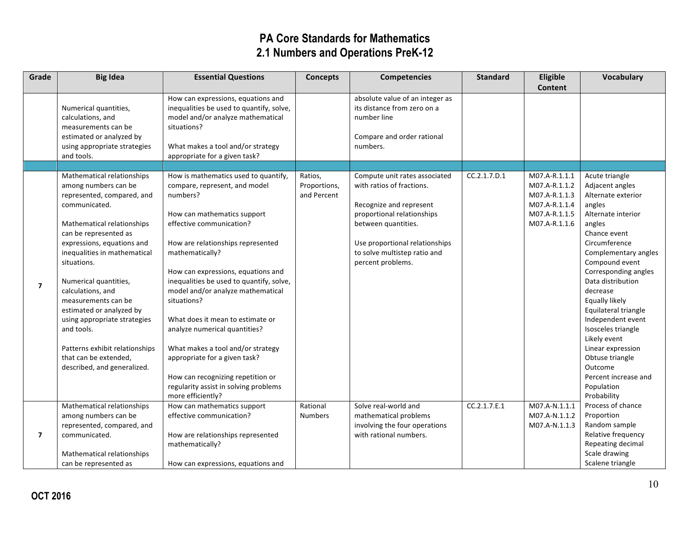| Grade          | <b>Big Idea</b>                | <b>Essential Questions</b>               | <b>Concepts</b> | <b>Competencies</b>             | <b>Standard</b> | Eligible       | <b>Vocabulary</b>    |
|----------------|--------------------------------|------------------------------------------|-----------------|---------------------------------|-----------------|----------------|----------------------|
|                |                                |                                          |                 |                                 |                 | <b>Content</b> |                      |
|                |                                | How can expressions, equations and       |                 | absolute value of an integer as |                 |                |                      |
|                | Numerical quantities,          | inequalities be used to quantify, solve, |                 | its distance from zero on a     |                 |                |                      |
|                | calculations, and              | model and/or analyze mathematical        |                 | number line                     |                 |                |                      |
|                | measurements can be            | situations?                              |                 |                                 |                 |                |                      |
|                | estimated or analyzed by       |                                          |                 | Compare and order rational      |                 |                |                      |
|                | using appropriate strategies   | What makes a tool and/or strategy        |                 | numbers.                        |                 |                |                      |
|                | and tools.                     | appropriate for a given task?            |                 |                                 |                 |                |                      |
|                |                                |                                          |                 |                                 |                 |                |                      |
|                | Mathematical relationships     | How is mathematics used to quantify,     | Ratios,         | Compute unit rates associated   | CC.2.1.7.D.1    | M07.A-R.1.1.1  | Acute triangle       |
|                | among numbers can be           | compare, represent, and model            | Proportions,    | with ratios of fractions.       |                 | M07.A-R.1.1.2  | Adjacent angles      |
|                | represented, compared, and     | numbers?                                 | and Percent     |                                 |                 | M07.A-R.1.1.3  | Alternate exterior   |
|                | communicated.                  |                                          |                 | Recognize and represent         |                 | M07.A-R.1.1.4  | angles               |
|                |                                | How can mathematics support              |                 | proportional relationships      |                 | M07.A-R.1.1.5  | Alternate interior   |
|                | Mathematical relationships     | effective communication?                 |                 | between quantities.             |                 | M07.A-R.1.1.6  | angles               |
|                | can be represented as          |                                          |                 |                                 |                 |                | Chance event         |
|                | expressions, equations and     | How are relationships represented        |                 | Use proportional relationships  |                 |                | Circumference        |
|                | inequalities in mathematical   | mathematically?                          |                 | to solve multistep ratio and    |                 |                | Complementary angles |
|                | situations.                    |                                          |                 | percent problems.               |                 |                | Compound event       |
|                |                                | How can expressions, equations and       |                 |                                 |                 |                | Corresponding angles |
| $\overline{7}$ | Numerical quantities,          | inequalities be used to quantify, solve, |                 |                                 |                 |                | Data distribution    |
|                | calculations, and              | model and/or analyze mathematical        |                 |                                 |                 |                | decrease             |
|                | measurements can be            | situations?                              |                 |                                 |                 |                | Equally likely       |
|                | estimated or analyzed by       |                                          |                 |                                 |                 |                | Equilateral triangle |
|                | using appropriate strategies   | What does it mean to estimate or         |                 |                                 |                 |                | Independent event    |
|                | and tools.                     | analyze numerical quantities?            |                 |                                 |                 |                | Isosceles triangle   |
|                |                                |                                          |                 |                                 |                 |                | Likely event         |
|                | Patterns exhibit relationships | What makes a tool and/or strategy        |                 |                                 |                 |                | Linear expression    |
|                | that can be extended,          | appropriate for a given task?            |                 |                                 |                 |                | Obtuse triangle      |
|                | described, and generalized.    |                                          |                 |                                 |                 |                | Outcome              |
|                |                                | How can recognizing repetition or        |                 |                                 |                 |                | Percent increase and |
|                |                                | regularity assist in solving problems    |                 |                                 |                 |                | Population           |
|                |                                | more efficiently?                        |                 |                                 |                 |                | Probability          |
|                | Mathematical relationships     | How can mathematics support              | Rational        | Solve real-world and            | CC.2.1.7.E.1    | M07.A-N.1.1.1  | Process of chance    |
|                | among numbers can be           | effective communication?                 | <b>Numbers</b>  | mathematical problems           |                 | M07.A-N.1.1.2  | Proportion           |
|                | represented, compared, and     |                                          |                 | involving the four operations   |                 | M07.A-N.1.1.3  | Random sample        |
| $\overline{7}$ | communicated.                  | How are relationships represented        |                 | with rational numbers.          |                 |                | Relative frequency   |
|                |                                | mathematically?                          |                 |                                 |                 |                | Repeating decimal    |
|                | Mathematical relationships     |                                          |                 |                                 |                 |                | Scale drawing        |
|                | can be represented as          | How can expressions, equations and       |                 |                                 |                 |                | Scalene triangle     |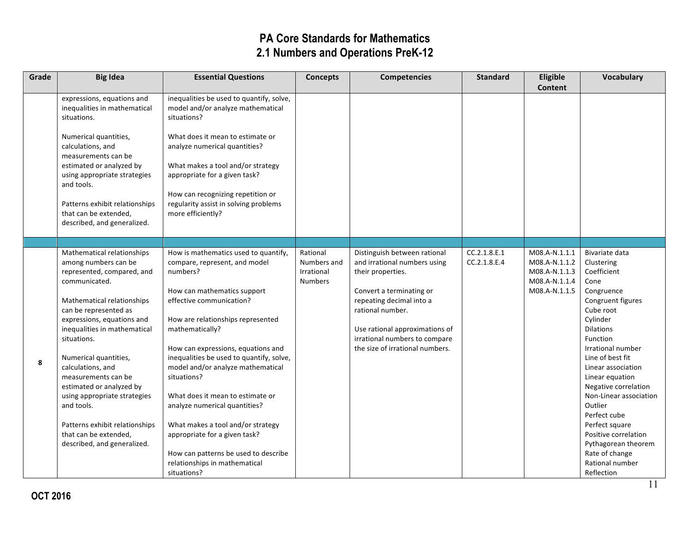| Grade | <b>Big Idea</b>                                                                                                                                                                                                                                                                                                                                                                                                                                                                | <b>Essential Questions</b>                                                                                                                                                                                                                                                                                                                                                                                                                                                                                                                                                    | <b>Concepts</b>                                         | <b>Competencies</b>                                                                                                                                                                                                                                                 | <b>Standard</b>              | Eligible<br><b>Content</b>                                                        | Vocabulary                                                                                                                                                                                                                                                                                                                                                                                                                         |
|-------|--------------------------------------------------------------------------------------------------------------------------------------------------------------------------------------------------------------------------------------------------------------------------------------------------------------------------------------------------------------------------------------------------------------------------------------------------------------------------------|-------------------------------------------------------------------------------------------------------------------------------------------------------------------------------------------------------------------------------------------------------------------------------------------------------------------------------------------------------------------------------------------------------------------------------------------------------------------------------------------------------------------------------------------------------------------------------|---------------------------------------------------------|---------------------------------------------------------------------------------------------------------------------------------------------------------------------------------------------------------------------------------------------------------------------|------------------------------|-----------------------------------------------------------------------------------|------------------------------------------------------------------------------------------------------------------------------------------------------------------------------------------------------------------------------------------------------------------------------------------------------------------------------------------------------------------------------------------------------------------------------------|
|       | expressions, equations and<br>inequalities in mathematical<br>situations.<br>Numerical quantities,<br>calculations, and<br>measurements can be<br>estimated or analyzed by<br>using appropriate strategies<br>and tools.<br>Patterns exhibit relationships<br>that can be extended,<br>described, and generalized.                                                                                                                                                             | inequalities be used to quantify, solve,<br>model and/or analyze mathematical<br>situations?<br>What does it mean to estimate or<br>analyze numerical quantities?<br>What makes a tool and/or strategy<br>appropriate for a given task?<br>How can recognizing repetition or<br>regularity assist in solving problems<br>more efficiently?                                                                                                                                                                                                                                    |                                                         |                                                                                                                                                                                                                                                                     |                              |                                                                                   |                                                                                                                                                                                                                                                                                                                                                                                                                                    |
|       |                                                                                                                                                                                                                                                                                                                                                                                                                                                                                |                                                                                                                                                                                                                                                                                                                                                                                                                                                                                                                                                                               |                                                         |                                                                                                                                                                                                                                                                     |                              |                                                                                   |                                                                                                                                                                                                                                                                                                                                                                                                                                    |
| 8     | Mathematical relationships<br>among numbers can be<br>represented, compared, and<br>communicated.<br>Mathematical relationships<br>can be represented as<br>expressions, equations and<br>inequalities in mathematical<br>situations.<br>Numerical quantities,<br>calculations, and<br>measurements can be<br>estimated or analyzed by<br>using appropriate strategies<br>and tools.<br>Patterns exhibit relationships<br>that can be extended,<br>described, and generalized. | How is mathematics used to quantify,<br>compare, represent, and model<br>numbers?<br>How can mathematics support<br>effective communication?<br>How are relationships represented<br>mathematically?<br>How can expressions, equations and<br>inequalities be used to quantify, solve,<br>model and/or analyze mathematical<br>situations?<br>What does it mean to estimate or<br>analyze numerical quantities?<br>What makes a tool and/or strategy<br>appropriate for a given task?<br>How can patterns be used to describe<br>relationships in mathematical<br>situations? | Rational<br>Numbers and<br>Irrational<br><b>Numbers</b> | Distinguish between rational<br>and irrational numbers using<br>their properties.<br>Convert a terminating or<br>repeating decimal into a<br>rational number.<br>Use rational approximations of<br>irrational numbers to compare<br>the size of irrational numbers. | CC.2.1.8.E.1<br>CC.2.1.8.E.4 | M08.A-N.1.1.1<br>M08.A-N.1.1.2<br>M08.A-N.1.1.3<br>M08.A-N.1.1.4<br>M08.A-N.1.1.5 | Bivariate data<br>Clustering<br>Coefficient<br>Cone<br>Congruence<br>Congruent figures<br>Cube root<br>Cylinder<br><b>Dilations</b><br>Function<br>Irrational number<br>Line of best fit<br>Linear association<br>Linear equation<br>Negative correlation<br>Non-Linear association<br>Outlier<br>Perfect cube<br>Perfect square<br>Positive correlation<br>Pythagorean theorem<br>Rate of change<br>Rational number<br>Reflection |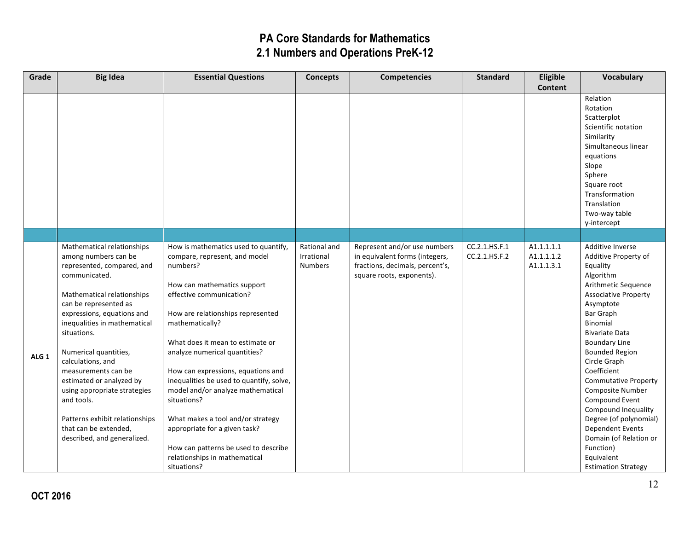| Grade            | <b>Big Idea</b>                                 | <b>Essential Questions</b>                                                     | <b>Concepts</b> | <b>Competencies</b>             | <b>Standard</b> | Eligible   | Vocabulary                                 |
|------------------|-------------------------------------------------|--------------------------------------------------------------------------------|-----------------|---------------------------------|-----------------|------------|--------------------------------------------|
|                  |                                                 |                                                                                |                 |                                 |                 | Content    |                                            |
|                  |                                                 |                                                                                |                 |                                 |                 |            | Relation                                   |
|                  |                                                 |                                                                                |                 |                                 |                 |            | Rotation                                   |
|                  |                                                 |                                                                                |                 |                                 |                 |            | Scatterplot                                |
|                  |                                                 |                                                                                |                 |                                 |                 |            | Scientific notation                        |
|                  |                                                 |                                                                                |                 |                                 |                 |            | Similarity<br>Simultaneous linear          |
|                  |                                                 |                                                                                |                 |                                 |                 |            | equations                                  |
|                  |                                                 |                                                                                |                 |                                 |                 |            | Slope                                      |
|                  |                                                 |                                                                                |                 |                                 |                 |            | Sphere                                     |
|                  |                                                 |                                                                                |                 |                                 |                 |            | Square root                                |
|                  |                                                 |                                                                                |                 |                                 |                 |            | Transformation                             |
|                  |                                                 |                                                                                |                 |                                 |                 |            | Translation                                |
|                  |                                                 |                                                                                |                 |                                 |                 |            | Two-way table                              |
|                  |                                                 |                                                                                |                 |                                 |                 |            | y-intercept                                |
|                  |                                                 |                                                                                |                 |                                 |                 |            |                                            |
|                  | Mathematical relationships                      | How is mathematics used to quantify,                                           | Rational and    | Represent and/or use numbers    | CC.2.1.HS.F.1   | A1.1.1.1.1 | Additive Inverse                           |
|                  | among numbers can be                            | compare, represent, and model                                                  | Irrational      | in equivalent forms (integers,  | CC.2.1.HS.F.2   | A1.1.1.1.2 | Additive Property of                       |
|                  | represented, compared, and                      | numbers?                                                                       | <b>Numbers</b>  | fractions, decimals, percent's, |                 | A1.1.1.3.1 | Equality                                   |
|                  | communicated.                                   |                                                                                |                 | square roots, exponents).       |                 |            | Algorithm                                  |
|                  |                                                 | How can mathematics support                                                    |                 |                                 |                 |            | Arithmetic Sequence                        |
|                  | Mathematical relationships                      | effective communication?                                                       |                 |                                 |                 |            | <b>Associative Property</b>                |
|                  | can be represented as                           |                                                                                |                 |                                 |                 |            | Asymptote                                  |
|                  | expressions, equations and                      | How are relationships represented                                              |                 |                                 |                 |            | Bar Graph                                  |
|                  | inequalities in mathematical                    | mathematically?                                                                |                 |                                 |                 |            | Binomial                                   |
|                  | situations.                                     |                                                                                |                 |                                 |                 |            | <b>Bivariate Data</b>                      |
|                  |                                                 | What does it mean to estimate or                                               |                 |                                 |                 |            | <b>Boundary Line</b>                       |
| ALG <sub>1</sub> | Numerical quantities,                           | analyze numerical quantities?                                                  |                 |                                 |                 |            | <b>Bounded Region</b>                      |
|                  | calculations, and                               |                                                                                |                 |                                 |                 |            | Circle Graph                               |
|                  | measurements can be<br>estimated or analyzed by | How can expressions, equations and<br>inequalities be used to quantify, solve, |                 |                                 |                 |            | Coefficient<br><b>Commutative Property</b> |
|                  | using appropriate strategies                    | model and/or analyze mathematical                                              |                 |                                 |                 |            | Composite Number                           |
|                  | and tools.                                      | situations?                                                                    |                 |                                 |                 |            | Compound Event                             |
|                  |                                                 |                                                                                |                 |                                 |                 |            | Compound Inequality                        |
|                  | Patterns exhibit relationships                  | What makes a tool and/or strategy                                              |                 |                                 |                 |            | Degree (of polynomial)                     |
|                  | that can be extended,                           | appropriate for a given task?                                                  |                 |                                 |                 |            | <b>Dependent Events</b>                    |
|                  | described, and generalized.                     |                                                                                |                 |                                 |                 |            | Domain (of Relation or                     |
|                  |                                                 | How can patterns be used to describe                                           |                 |                                 |                 |            | Function)                                  |
|                  |                                                 | relationships in mathematical                                                  |                 |                                 |                 |            | Equivalent                                 |
|                  |                                                 | situations?                                                                    |                 |                                 |                 |            | <b>Estimation Strategy</b>                 |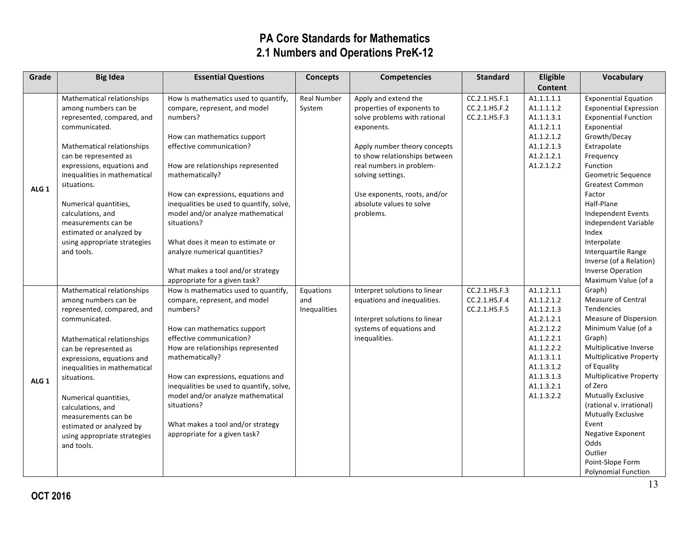| Content                                                                                                                                                                                                                                                                              |
|--------------------------------------------------------------------------------------------------------------------------------------------------------------------------------------------------------------------------------------------------------------------------------------|
|                                                                                                                                                                                                                                                                                      |
| <b>Exponential Equation</b>                                                                                                                                                                                                                                                          |
| <b>Exponential Expression</b>                                                                                                                                                                                                                                                        |
| <b>Exponential Function</b>                                                                                                                                                                                                                                                          |
| Exponential                                                                                                                                                                                                                                                                          |
| Growth/Decay                                                                                                                                                                                                                                                                         |
| Extrapolate                                                                                                                                                                                                                                                                          |
| Frequency                                                                                                                                                                                                                                                                            |
| Function                                                                                                                                                                                                                                                                             |
| Geometric Sequence                                                                                                                                                                                                                                                                   |
| <b>Greatest Common</b>                                                                                                                                                                                                                                                               |
| Factor                                                                                                                                                                                                                                                                               |
| Half-Plane                                                                                                                                                                                                                                                                           |
| Independent Events                                                                                                                                                                                                                                                                   |
| Independent Variable                                                                                                                                                                                                                                                                 |
| Index                                                                                                                                                                                                                                                                                |
| Interpolate                                                                                                                                                                                                                                                                          |
| Interquartile Range                                                                                                                                                                                                                                                                  |
| Inverse (of a Relation)                                                                                                                                                                                                                                                              |
| <b>Inverse Operation</b>                                                                                                                                                                                                                                                             |
| Maximum Value (of a                                                                                                                                                                                                                                                                  |
| Graph)                                                                                                                                                                                                                                                                               |
| Measure of Central                                                                                                                                                                                                                                                                   |
| <b>Tendencies</b>                                                                                                                                                                                                                                                                    |
| Measure of Dispersion                                                                                                                                                                                                                                                                |
| Minimum Value (of a                                                                                                                                                                                                                                                                  |
| Graph)                                                                                                                                                                                                                                                                               |
| Multiplicative Inverse                                                                                                                                                                                                                                                               |
| <b>Multiplicative Property</b>                                                                                                                                                                                                                                                       |
| of Equality                                                                                                                                                                                                                                                                          |
| <b>Multiplicative Property</b>                                                                                                                                                                                                                                                       |
| of Zero                                                                                                                                                                                                                                                                              |
| Mutually Exclusive                                                                                                                                                                                                                                                                   |
| (rational v. irrational)                                                                                                                                                                                                                                                             |
| <b>Mutually Exclusive</b>                                                                                                                                                                                                                                                            |
| Event                                                                                                                                                                                                                                                                                |
| Negative Exponent<br>Odds                                                                                                                                                                                                                                                            |
| Outlier                                                                                                                                                                                                                                                                              |
| Point-Slope Form                                                                                                                                                                                                                                                                     |
| <b>Polynomial Function</b>                                                                                                                                                                                                                                                           |
| A1.1.1.1.1<br>A1.1.1.1.2<br>A1.1.1.3.1<br>A1.1.2.1.1<br>A1.1.2.1.2<br>A1.1.2.1.3<br>A1.2.1.2.1<br>A1.2.1.2.2<br>A1.1.2.1.1<br>A1.1.2.1.2<br>A1.1.2.1.3<br>A1.2.1.2.1<br>A1.2.1.2.2<br>A1.1.2.2.1<br>A1.1.2.2.2<br>A1.1.3.1.1<br>A1.1.3.1.2<br>A1.1.3.1.3<br>A1.1.3.2.1<br>A1.1.3.2.2 |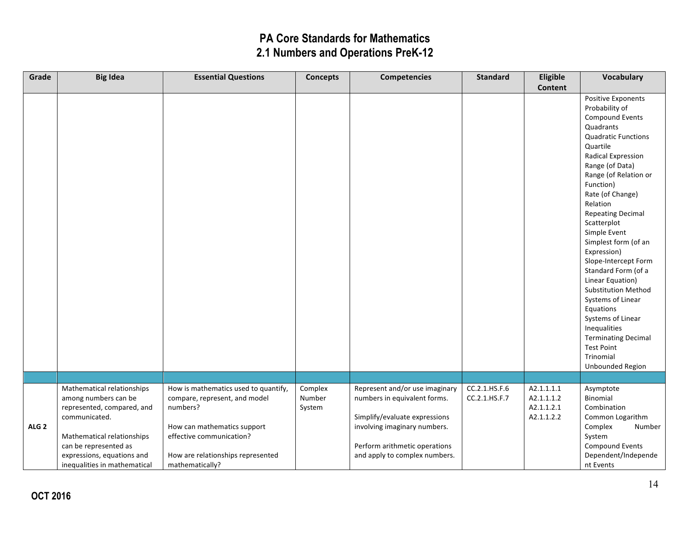| Grade            | <b>Big Idea</b>                                    | <b>Essential Questions</b>                           | <b>Concepts</b>   | <b>Competencies</b>                                            | <b>Standard</b>                | Eligible                 | <b>Vocabulary</b>           |
|------------------|----------------------------------------------------|------------------------------------------------------|-------------------|----------------------------------------------------------------|--------------------------------|--------------------------|-----------------------------|
|                  |                                                    |                                                      |                   |                                                                |                                | <b>Content</b>           |                             |
|                  |                                                    |                                                      |                   |                                                                |                                |                          | <b>Positive Exponents</b>   |
|                  |                                                    |                                                      |                   |                                                                |                                |                          | Probability of              |
|                  |                                                    |                                                      |                   |                                                                |                                |                          | Compound Events             |
|                  |                                                    |                                                      |                   |                                                                |                                |                          | Quadrants                   |
|                  |                                                    |                                                      |                   |                                                                |                                |                          | <b>Quadratic Functions</b>  |
|                  |                                                    |                                                      |                   |                                                                |                                |                          | Quartile                    |
|                  |                                                    |                                                      |                   |                                                                |                                |                          | Radical Expression          |
|                  |                                                    |                                                      |                   |                                                                |                                |                          | Range (of Data)             |
|                  |                                                    |                                                      |                   |                                                                |                                |                          | Range (of Relation or       |
|                  |                                                    |                                                      |                   |                                                                |                                |                          | Function)                   |
|                  |                                                    |                                                      |                   |                                                                |                                |                          | Rate (of Change)            |
|                  |                                                    |                                                      |                   |                                                                |                                |                          | Relation                    |
|                  |                                                    |                                                      |                   |                                                                |                                |                          | <b>Repeating Decimal</b>    |
|                  |                                                    |                                                      |                   |                                                                |                                |                          | Scatterplot                 |
|                  |                                                    |                                                      |                   |                                                                |                                |                          | Simple Event                |
|                  |                                                    |                                                      |                   |                                                                |                                |                          | Simplest form (of an        |
|                  |                                                    |                                                      |                   |                                                                |                                |                          | Expression)                 |
|                  |                                                    |                                                      |                   |                                                                |                                |                          | Slope-Intercept Form        |
|                  |                                                    |                                                      |                   |                                                                |                                |                          | Standard Form (of a         |
|                  |                                                    |                                                      |                   |                                                                |                                |                          | Linear Equation)            |
|                  |                                                    |                                                      |                   |                                                                |                                |                          | <b>Substitution Method</b>  |
|                  |                                                    |                                                      |                   |                                                                |                                |                          | Systems of Linear           |
|                  |                                                    |                                                      |                   |                                                                |                                |                          | Equations                   |
|                  |                                                    |                                                      |                   |                                                                |                                |                          | Systems of Linear           |
|                  |                                                    |                                                      |                   |                                                                |                                |                          | Inequalities                |
|                  |                                                    |                                                      |                   |                                                                |                                |                          | <b>Terminating Decimal</b>  |
|                  |                                                    |                                                      |                   |                                                                |                                |                          | <b>Test Point</b>           |
|                  |                                                    |                                                      |                   |                                                                |                                |                          | Trinomial                   |
|                  |                                                    |                                                      |                   |                                                                |                                |                          | Unbounded Region            |
|                  |                                                    |                                                      |                   |                                                                |                                |                          |                             |
|                  | Mathematical relationships                         | How is mathematics used to quantify,                 | Complex<br>Number | Represent and/or use imaginary<br>numbers in equivalent forms. | CC.2.1.HS.F.6<br>CC.2.1.HS.F.7 | A2.1.1.1.1<br>A2.1.1.1.2 | Asymptote<br>Binomial       |
|                  | among numbers can be<br>represented, compared, and | compare, represent, and model<br>numbers?            |                   |                                                                |                                | A2.1.1.2.1               | Combination                 |
|                  | communicated.                                      |                                                      | System            | Simplify/evaluate expressions                                  |                                | A2.1.1.2.2               |                             |
| ALG <sub>2</sub> |                                                    | How can mathematics support                          |                   |                                                                |                                |                          | Common Logarithm            |
|                  | Mathematical relationships                         | effective communication?                             |                   | involving imaginary numbers.                                   |                                |                          | Complex<br>Number<br>System |
|                  | can be represented as                              |                                                      |                   | Perform arithmetic operations                                  |                                |                          | <b>Compound Events</b>      |
|                  | expressions, equations and                         |                                                      |                   |                                                                |                                |                          | Dependent/Independe         |
|                  | inequalities in mathematical                       | How are relationships represented<br>mathematically? |                   | and apply to complex numbers.                                  |                                |                          | nt Events                   |
|                  |                                                    |                                                      |                   |                                                                |                                |                          |                             |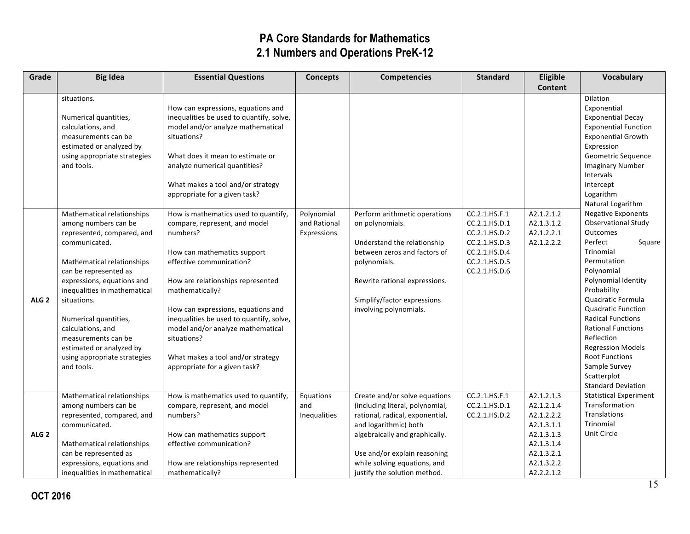| Grade            | <b>Big Idea</b>                             | <b>Essential Questions</b>                | <b>Concepts</b> | <b>Competencies</b>                                     | <b>Standard</b>                | Eligible                 | <b>Vocabulary</b>                                       |
|------------------|---------------------------------------------|-------------------------------------------|-----------------|---------------------------------------------------------|--------------------------------|--------------------------|---------------------------------------------------------|
|                  |                                             |                                           |                 |                                                         |                                | <b>Content</b>           |                                                         |
|                  | situations.                                 |                                           |                 |                                                         |                                |                          | Dilation                                                |
|                  |                                             | How can expressions, equations and        |                 |                                                         |                                |                          | Exponential                                             |
|                  | Numerical quantities,                       | inequalities be used to quantify, solve,  |                 |                                                         |                                |                          | <b>Exponential Decay</b>                                |
|                  | calculations, and                           | model and/or analyze mathematical         |                 |                                                         |                                |                          | <b>Exponential Function</b>                             |
|                  | measurements can be                         | situations?                               |                 |                                                         |                                |                          | <b>Exponential Growth</b>                               |
|                  | estimated or analyzed by                    |                                           |                 |                                                         |                                |                          | Expression                                              |
|                  | using appropriate strategies                | What does it mean to estimate or          |                 |                                                         |                                |                          | Geometric Sequence                                      |
|                  | and tools.                                  | analyze numerical quantities?             |                 |                                                         |                                |                          | <b>Imaginary Number</b>                                 |
|                  |                                             |                                           |                 |                                                         |                                |                          | Intervals                                               |
|                  |                                             | What makes a tool and/or strategy         |                 |                                                         |                                |                          | Intercept                                               |
|                  |                                             | appropriate for a given task?             |                 |                                                         |                                |                          | Logarithm                                               |
|                  |                                             |                                           |                 |                                                         |                                |                          | Natural Logarithm                                       |
|                  | Mathematical relationships                  | How is mathematics used to quantify,      | Polynomial      | Perform arithmetic operations                           | CC.2.1.HS.F.1                  | A2.1.2.1.2               | <b>Negative Exponents</b><br><b>Observational Study</b> |
|                  | among numbers can be                        | compare, represent, and model<br>numbers? | and Rational    | on polynomials.                                         | CC.2.1.HS.D.1<br>CC.2.1.HS.D.2 | A2.1.3.1.2               | Outcomes                                                |
|                  | represented, compared, and<br>communicated. |                                           | Expressions     | Understand the relationship                             | CC.2.1.HS.D.3                  | A2.1.2.2.1<br>A2.1.2.2.2 | Perfect<br>Square                                       |
|                  |                                             | How can mathematics support               |                 | between zeros and factors of                            | CC.2.1.HS.D.4                  |                          | Trinomial                                               |
|                  | Mathematical relationships                  | effective communication?                  |                 | polynomials.                                            | CC.2.1.HS.D.5                  |                          | Permutation                                             |
|                  | can be represented as                       |                                           |                 |                                                         | CC.2.1.HS.D.6                  |                          | Polynomial                                              |
|                  | expressions, equations and                  | How are relationships represented         |                 | Rewrite rational expressions.                           |                                |                          | Polynomial Identity                                     |
|                  | inequalities in mathematical                | mathematically?                           |                 |                                                         |                                |                          | Probability                                             |
| ALG <sub>2</sub> | situations.                                 |                                           |                 | Simplify/factor expressions                             |                                |                          | Quadratic Formula                                       |
|                  |                                             | How can expressions, equations and        |                 | involving polynomials.                                  |                                |                          | <b>Quadratic Function</b>                               |
|                  | Numerical quantities,                       | inequalities be used to quantify, solve,  |                 |                                                         |                                |                          | <b>Radical Functions</b>                                |
|                  | calculations, and                           | model and/or analyze mathematical         |                 |                                                         |                                |                          | <b>Rational Functions</b>                               |
|                  | measurements can be                         | situations?                               |                 |                                                         |                                |                          | Reflection                                              |
|                  | estimated or analyzed by                    |                                           |                 |                                                         |                                |                          | <b>Regression Models</b>                                |
|                  | using appropriate strategies                | What makes a tool and/or strategy         |                 |                                                         |                                |                          | <b>Root Functions</b>                                   |
|                  | and tools.                                  | appropriate for a given task?             |                 |                                                         |                                |                          | Sample Survey                                           |
|                  |                                             |                                           |                 |                                                         |                                |                          | Scatterplot                                             |
|                  |                                             |                                           |                 |                                                         |                                |                          | <b>Standard Deviation</b>                               |
|                  | Mathematical relationships                  | How is mathematics used to quantify,      | Equations       | Create and/or solve equations                           | CC.2.1.HS.F.1                  | A2.1.2.1.3               | <b>Statistical Experiment</b><br>Transformation         |
|                  | among numbers can be                        | compare, represent, and model             | and             | (including literal, polynomial,                         | CC.2.1.HS.D.1                  | A2.1.2.1.4               | Translations                                            |
|                  | represented, compared, and                  | numbers?                                  | Inequalities    | rational, radical, exponential,                         | CC.2.1.HS.D.2                  | A2.1.2.2.2               | Trinomial                                               |
| ALG <sub>2</sub> | communicated.                               | How can mathematics support               |                 | and logarithmic) both<br>algebraically and graphically. |                                | A2.1.3.1.1<br>A2.1.3.1.3 | Unit Circle                                             |
|                  | Mathematical relationships                  | effective communication?                  |                 |                                                         |                                | A2.1.3.1.4               |                                                         |
|                  | can be represented as                       |                                           |                 | Use and/or explain reasoning                            |                                | A2.1.3.2.1               |                                                         |
|                  | expressions, equations and                  | How are relationships represented         |                 | while solving equations, and                            |                                | A2.1.3.2.2               |                                                         |
|                  | inequalities in mathematical                | mathematically?                           |                 | justify the solution method.                            |                                | A2.2.2.1.2               |                                                         |